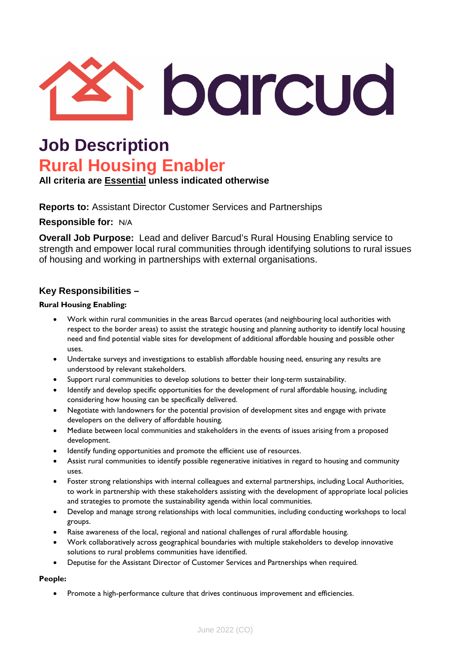

## **Job Description Rural Housing Enabler**

**All criteria are Essential unless indicated otherwise**

**Reports to:** Assistant Director Customer Services and Partnerships

**Responsible for:** N/A

**Overall Job Purpose:** Lead and deliver Barcud's Rural Housing Enabling service to strength and empower local rural communities through identifying solutions to rural issues of housing and working in partnerships with external organisations.

## **Key Responsibilities –**

#### **Rural Housing Enabling:**

- Work within rural communities in the areas Barcud operates (and neighbouring local authorities with respect to the border areas) to assist the strategic housing and planning authority to identify local housing need and find potential viable sites for development of additional affordable housing and possible other uses.
- Undertake surveys and investigations to establish affordable housing need, ensuring any results are understood by relevant stakeholders.
- Support rural communities to develop solutions to better their long-term sustainability.
- Identify and develop specific opportunities for the development of rural affordable housing, including considering how housing can be specifically delivered.
- Negotiate with landowners for the potential provision of development sites and engage with private developers on the delivery of affordable housing.
- Mediate between local communities and stakeholders in the events of issues arising from a proposed development.
- Identify funding opportunities and promote the efficient use of resources.
- Assist rural communities to identify possible regenerative initiatives in regard to housing and community uses.
- Foster strong relationships with internal colleagues and external partnerships, including Local Authorities, to work in partnership with these stakeholders assisting with the development of appropriate local policies and strategies to promote the sustainability agenda within local communities.
- Develop and manage strong relationships with local communities, including conducting workshops to local groups.
- Raise awareness of the local, regional and national challenges of rural affordable housing.
- Work collaboratively across geographical boundaries with multiple stakeholders to develop innovative solutions to rural problems communities have identified.
- Deputise for the Assistant Director of Customer Services and Partnerships when required.

#### **People:**

• Promote a high-performance culture that drives continuous improvement and efficiencies.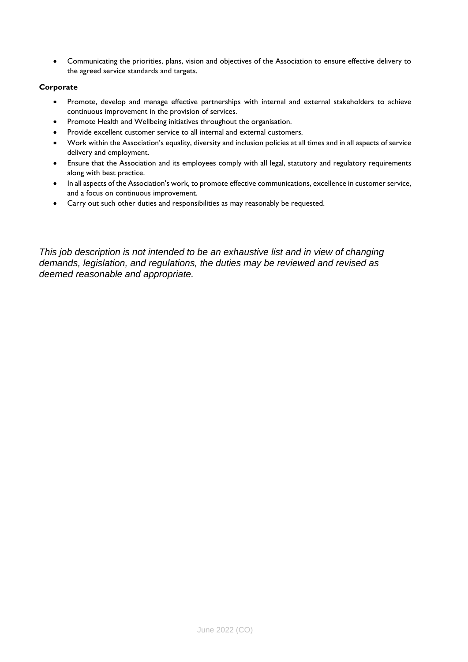• Communicating the priorities, plans, vision and objectives of the Association to ensure effective delivery to the agreed service standards and targets.

#### **Corporate**

- Promote, develop and manage effective partnerships with internal and external stakeholders to achieve continuous improvement in the provision of services.
- Promote Health and Wellbeing initiatives throughout the organisation.
- Provide excellent customer service to all internal and external customers.
- Work within the Association's equality, diversity and inclusion policies at all times and in all aspects of service delivery and employment.
- Ensure that the Association and its employees comply with all legal, statutory and regulatory requirements along with best practice.
- In all aspects of the Association's work, to promote effective communications, excellence in customer service, and a focus on continuous improvement.
- Carry out such other duties and responsibilities as may reasonably be requested.

*This job description is not intended to be an exhaustive list and in view of changing demands, legislation, and regulations, the duties may be reviewed and revised as deemed reasonable and appropriate.*